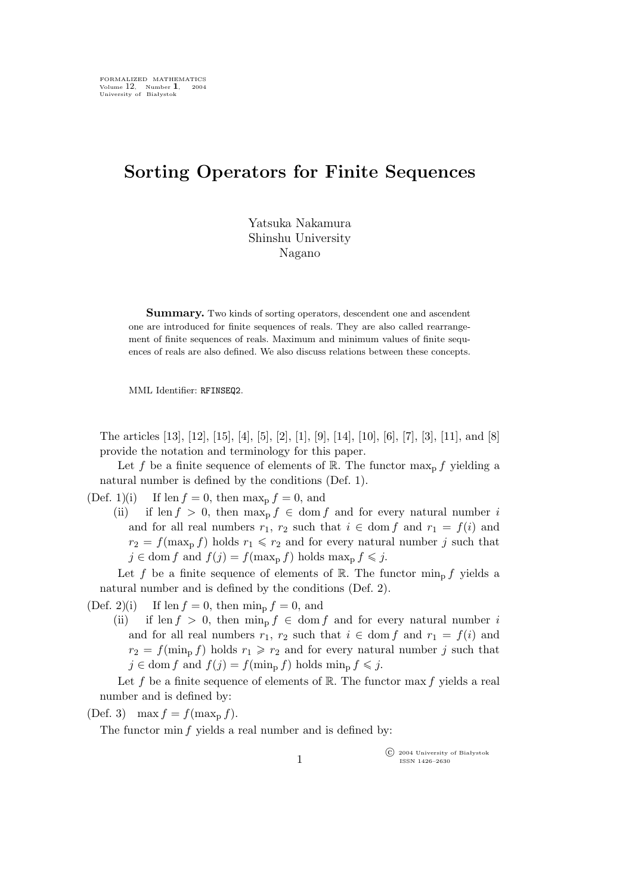## **Sorting Operators for Finite Sequences**

Yatsuka Nakamura Shinshu University Nagano

**Summary.** Two kinds of sorting operators, descendent one and ascendent one are introduced for finite sequences of reals. They are also called rearrangement of finite sequences of reals. Maximum and minimum values of finite sequences of reals are also defined. We also discuss relations between these concepts.

MML Identifier: RFINSEQ2.

The articles [13], [12], [15], [4], [5], [2], [1], [9], [14], [10], [6], [7], [3], [11], and [8] provide the notation and terminology for this paper.

Let f be a finite sequence of elements of R. The functor  $\max_{p} f$  yielding a natural number is defined by the conditions (Def. 1).

(Def. 1)(i) If len  $f = 0$ , then  $\max_{p} f = 0$ , and

(ii) if len  $f > 0$ , then max<sub>p</sub>  $f \in \text{dom } f$  and for every natural number i and for all real numbers  $r_1$ ,  $r_2$  such that  $i \in \text{dom } f$  and  $r_1 = f(i)$  and  $r_2 = f(\max_p f)$  holds  $r_1 \leq r_2$  and for every natural number j such that  $j \in \text{dom } f \text{ and } f(j) = f(\max_{p} f) \text{ holds } \max_{p} f \leqslant j.$ 

Let f be a finite sequence of elements of R. The functor  $\min_{\mathbf{p}} f$  yields a natural number and is defined by the conditions (Def. 2).

(Def. 2)(i) If len  $f = 0$ , then  $\min_{p} f = 0$ , and

(ii) if len  $f > 0$ , then  $\min_{\mathbf{p}} f \in \text{dom } f$  and for every natural number i and for all real numbers  $r_1$ ,  $r_2$  such that  $i \in \text{dom } f$  and  $r_1 = f(i)$  and  $r_2 = f(\min_p f)$  holds  $r_1 \geq r_2$  and for every natural number j such that  $j \in \text{dom } f \text{ and } f(j) = f(\min_{p} f) \text{ holds } \min_{p} f \leqslant j.$ 

Let f be a finite sequence of elements of  $\mathbb R$ . The functor max f yields a real number and is defined by:

(Def. 3) max  $f = f(\max_{p} f)$ .

The functor min f yields a real number and is defined by:

°c 2004 University of Białystok ISSN 1426–2630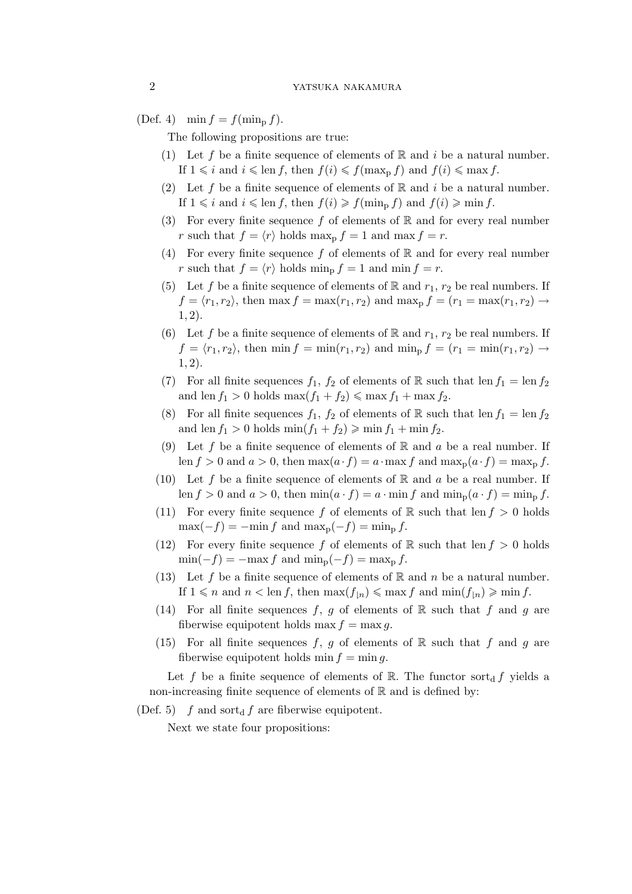(Def. 4)  $\min f = f(\min_p f)$ .

The following propositions are true:

- (1) Let f be a finite sequence of elements of  $\mathbb R$  and i be a natural number. If  $1 \leq i$  and  $i \leq \text{len } f$ , then  $f(i) \leq f(\text{max}_{p} f)$  and  $f(i) \leq \text{max } f$ .
- (2) Let f be a finite sequence of elements of  $\mathbb R$  and i be a natural number. If  $1 \leq i$  and  $i \leq \text{len } f$ , then  $f(i) \geq f(\text{min}_p f)$  and  $f(i) \geq \text{min } f$ .
- (3) For every finite sequence f of elements of  $\mathbb R$  and for every real number r such that  $f = \langle r \rangle$  holds max<sub>p</sub>  $f = 1$  and max  $f = r$ .
- (4) For every finite sequence f of elements of  $\mathbb R$  and for every real number r such that  $f = \langle r \rangle$  holds min<sub>p</sub>  $f = 1$  and min  $f = r$ .
- (5) Let f be a finite sequence of elements of R and  $r_1$ ,  $r_2$  be real numbers. If  $f = \langle r_1, r_2 \rangle$ , then max  $f = \max(r_1, r_2)$  and  $\max_p f = \langle r_1 = \max(r_1, r_2) \rightarrow$ 1, 2).
- (6) Let f be a finite sequence of elements of R and  $r_1, r_2$  be real numbers. If  $f = \langle r_1, r_2 \rangle$ , then min  $f = \min(r_1, r_2)$  and  $\min_{p} f = (r_1 = \min(r_1, r_2) \rightarrow$ 1, 2).
- (7) For all finite sequences  $f_1$ ,  $f_2$  of elements of R such that len  $f_1 = \text{len } f_2$ and len  $f_1 > 0$  holds  $\max(f_1 + f_2) \leq \max f_1 + \max f_2$ .
- (8) For all finite sequences  $f_1$ ,  $f_2$  of elements of R such that len  $f_1 = \text{len } f_2$ and len  $f_1 > 0$  holds  $\min(f_1 + f_2) \geqslant \min f_1 + \min f_2$ .
- (9) Let f be a finite sequence of elements of  $\mathbb R$  and a be a real number. If len  $f > 0$  and  $a > 0$ , then  $\max(a \cdot f) = a \cdot \max f$  and  $\max_p(a \cdot f) = \max_p f$ .
- (10) Let f be a finite sequence of elements of  $\mathbb R$  and a be a real number. If len  $f > 0$  and  $a > 0$ , then  $\min(a \cdot f) = a \cdot \min f$  and  $\min_{p}(a \cdot f) = \min_{p} f$ .
- (11) For every finite sequence f of elements of R such that len  $f > 0$  holds  $\max(-f) = -\min f$  and  $\max_{p}(-f) = \min_{p} f$ .
- (12) For every finite sequence f of elements of R such that len  $f > 0$  holds  $\min(-f) = -\max f$  and  $\min_{p}(-f) = \max_{p} f$ .
- (13) Let f be a finite sequence of elements of R and n be a natural number. If  $1 \leq n$  and  $n < \text{len } f$ , then  $\max(f_{\lfloor n}\rfloor) \leq \max f$  and  $\min(f_{\lfloor n}\rfloor) \geq \min f$ .
- (14) For all finite sequences f, g of elements of R such that f and g are fiberwise equipotent holds max  $f = \max g$ .
- (15) For all finite sequences f, g of elements of R such that f and g are fiberwise equipotent holds min  $f = \min g$ .

Let f be a finite sequence of elements of R. The functor sort<sub>d</sub> f yields a non-increasing finite sequence of elements of  $\mathbb R$  and is defined by:

(Def. 5) f and sort<sub>d</sub> f are fiberwise equipotent.

Next we state four propositions: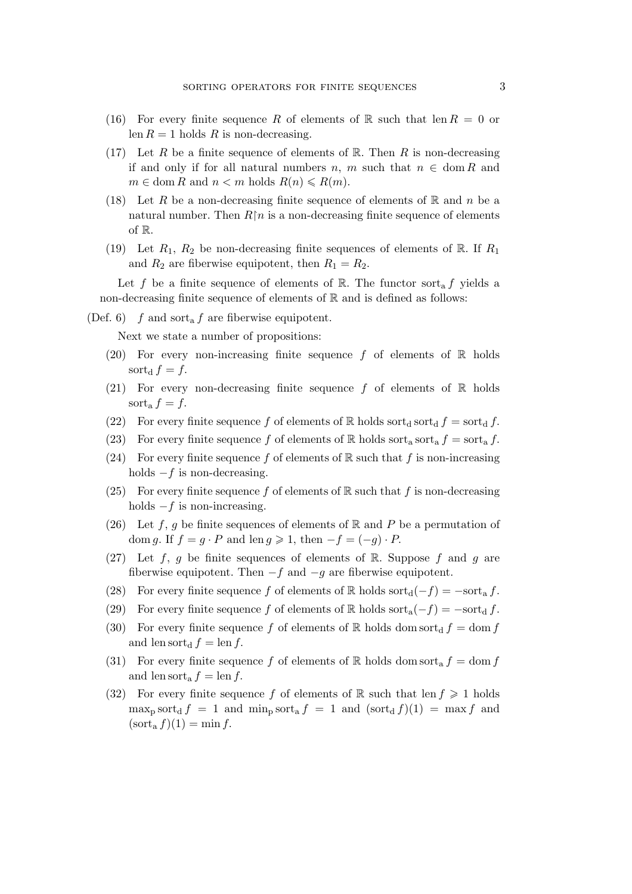- (16) For every finite sequence R of elements of R such that len  $R = 0$  or len  $R = 1$  holds R is non-decreasing.
- (17) Let R be a finite sequence of elements of  $\mathbb{R}$ . Then R is non-decreasing if and only if for all natural numbers n, m such that  $n \in \text{dom } R$  and  $m \in \text{dom } R$  and  $n < m$  holds  $R(n) \le R(m)$ .
- (18) Let R be a non-decreasing finite sequence of elements of R and n be a natural number. Then  $R\upharpoonright n$  is a non-decreasing finite sequence of elements of R.
- (19) Let  $R_1, R_2$  be non-decreasing finite sequences of elements of R. If  $R_1$ and  $R_2$  are fiberwise equipotent, then  $R_1 = R_2$ .

Let f be a finite sequence of elements of R. The functor sort<sub>a</sub> f yields a non-decreasing finite sequence of elements of  $\mathbb R$  and is defined as follows:

(Def. 6) f and sort<sub>a</sub> f are fiberwise equipotent.

Next we state a number of propositions:

- (20) For every non-increasing finite sequence f of elements of  $\mathbb R$  holds sort<sub>d</sub>  $f = f$ .
- (21) For every non-decreasing finite sequence f of elements of  $\mathbb R$  holds sort<sub>a</sub> $f = f$ .
- (22) For every finite sequence f of elements of R holds sortd sortd  $f = \text{sort}_d f$ .
- (23) For every finite sequence f of elements of R holds sort<sub>a</sub> sort<sub>a</sub>  $f = \text{sort}_a f$ .
- (24) For every finite sequence f of elements of  $\mathbb R$  such that f is non-increasing holds *−*f is non-decreasing.
- (25) For every finite sequence f of elements of R such that f is non-decreasing holds *−*f is non-increasing.
- (26) Let f, g be finite sequences of elements of  $\mathbb R$  and P be a permutation of dom g. If  $f = g \cdot P$  and len  $g \ge 1$ , then  $-f = (-g) \cdot P$ .
- (27) Let f, g be finite sequences of elements of R. Suppose f and g are fiberwise equipotent. Then *−*f and *−*g are fiberwise equipotent.
- (28) For every finite sequence f of elements of R holds sort $d(-f) = -\text{sort}_a f$ .
- (29) For every finite sequence f of elements of R holds sort<sub>a</sub> $(-f) = -\text{sort}_d f$ .
- (30) For every finite sequence f of elements of R holds dom sortd  $f = \text{dom } f$ and len sort<sub>d</sub>  $f = \text{len } f$ .
- (31) For every finite sequence f of elements of R holds dom sort<sub>a</sub>  $f = \text{dom } f$ and len sort<sub>a</sub>  $f = \text{len } f$ .
- (32) For every finite sequence f of elements of R such that len  $f \geq 1$  holds  $\max_{\mathbf{p}} \text{sort}_{\mathbf{d}} f = 1$  and  $\min_{\mathbf{p}} \text{sort}_{\mathbf{d}} f = 1$  and  $(\text{sort}_{\mathbf{d}} f)(1) = \max f$  and  $(\operatorname{sort}_a f)(1) = \min f$ .